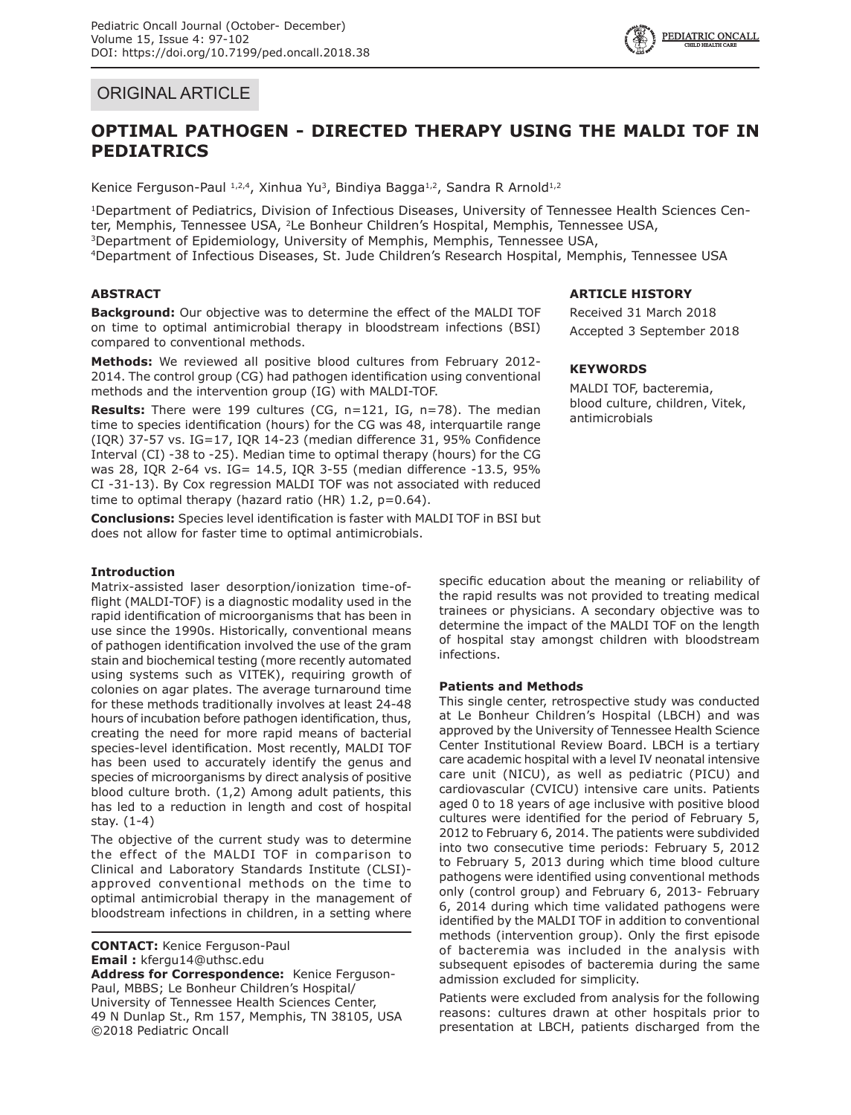

# ORIGINAL ARTICLE

# **OPTIMAL PATHOGEN - DIRECTED THERAPY USING THE MALDI TOF IN PEDIATRICS**

Kenice Ferguson-Paul  $1,2,4$ , Xinhua Yu<sup>3</sup>, Bindiya Bagga<sup>1,2</sup>, Sandra R Arnold<sup>1,2</sup>

1Department of Pediatrics, Division of Infectious Diseases, University of Tennessee Health Sciences Center, Memphis, Tennessee USA, <sup>2</sup>Le Bonheur Children's Hospital, Memphis, Tennessee USA,<br><sup>3</sup>Department of Epidemiology, University of Memphis, Memphis, Tennessee USA, 4Department of Infectious Diseases, St. Jude Children's Research Hospital, Memphis, Tennessee USA

## **ABSTRACT**

**Background:** Our objective was to determine the effect of the MALDI TOF on time to optimal antimicrobial therapy in bloodstream infections (BSI) compared to conventional methods.

**Methods:** We reviewed all positive blood cultures from February 2012- 2014. The control group (CG) had pathogen identification using conventional methods and the intervention group (IG) with MALDI-TOF.

**Results:** There were 199 cultures (CG, n=121, IG, n=78). The median time to species identification (hours) for the CG was 48, interquartile range (IQR) 37-57 vs. IG=17, IQR 14-23 (median difference 31, 95% Confidence Interval (CI) -38 to -25). Median time to optimal therapy (hours) for the CG was 28, IQR 2-64 vs. IG= 14.5, IQR 3-55 (median difference -13.5, 95% CI -31-13). By Cox regression MALDI TOF was not associated with reduced time to optimal therapy (hazard ratio (HR)  $1.2$ ,  $p=0.64$ ).

**Conclusions:** Species level identification is faster with MALDI TOF in BSI but does not allow for faster time to optimal antimicrobials.

## **Introduction**

Matrix-assisted laser desorption/ionization time-offlight (MALDI-TOF) is a diagnostic modality used in the rapid identification of microorganisms that has been in use since the 1990s. Historically, conventional means of pathogen identification involved the use of the gram stain and biochemical testing (more recently automated using systems such as VITEK), requiring growth of colonies on agar plates. The average turnaround time for these methods traditionally involves at least 24-48 hours of incubation before pathogen identification, thus, creating the need for more rapid means of bacterial species-level identification. Most recently, MALDI TOF has been used to accurately identify the genus and species of microorganisms by direct analysis of positive blood culture broth. (1,2) Among adult patients, this has led to a reduction in length and cost of hospital stay. (1-4)

The objective of the current study was to determine the effect of the MALDI TOF in comparison to Clinical and Laboratory Standards Institute (CLSI) approved conventional methods on the time to optimal antimicrobial therapy in the management of bloodstream infections in children, in a setting where

**CONTACT:** Kenice Ferguson-Paul **Email :** kfergu14@uthsc.edu **Address for Correspondence:** Kenice Ferguson-Paul, MBBS; Le Bonheur Children's Hospital/ University of Tennessee Health Sciences Center, 49 N Dunlap St., Rm 157, Memphis, TN 38105, USA ©2018 Pediatric Oncall

## **ARTICLE HISTORY**

Received 31 March 2018 Accepted 3 September 2018

## **KEYWORDS**

MALDI TOF, bacteremia, blood culture, children, Vitek, antimicrobials

specific education about the meaning or reliability of the rapid results was not provided to treating medical trainees or physicians. A secondary objective was to determine the impact of the MALDI TOF on the length of hospital stay amongst children with bloodstream infections.

## **Patients and Methods**

This single center, retrospective study was conducted at Le Bonheur Children's Hospital (LBCH) and was approved by the University of Tennessee Health Science Center Institutional Review Board. LBCH is a tertiary care academic hospital with a level IV neonatal intensive care unit (NICU), as well as pediatric (PICU) and cardiovascular (CVICU) intensive care units. Patients aged 0 to 18 years of age inclusive with positive blood cultures were identified for the period of February 5, 2012 to February 6, 2014. The patients were subdivided into two consecutive time periods: February 5, 2012 to February 5, 2013 during which time blood culture pathogens were identified using conventional methods only (control group) and February 6, 2013- February 6, 2014 during which time validated pathogens were identified by the MALDI TOF in addition to conventional methods (intervention group). Only the first episode of bacteremia was included in the analysis with subsequent episodes of bacteremia during the same admission excluded for simplicity.

Patients were excluded from analysis for the following reasons: cultures drawn at other hospitals prior to presentation at LBCH, patients discharged from the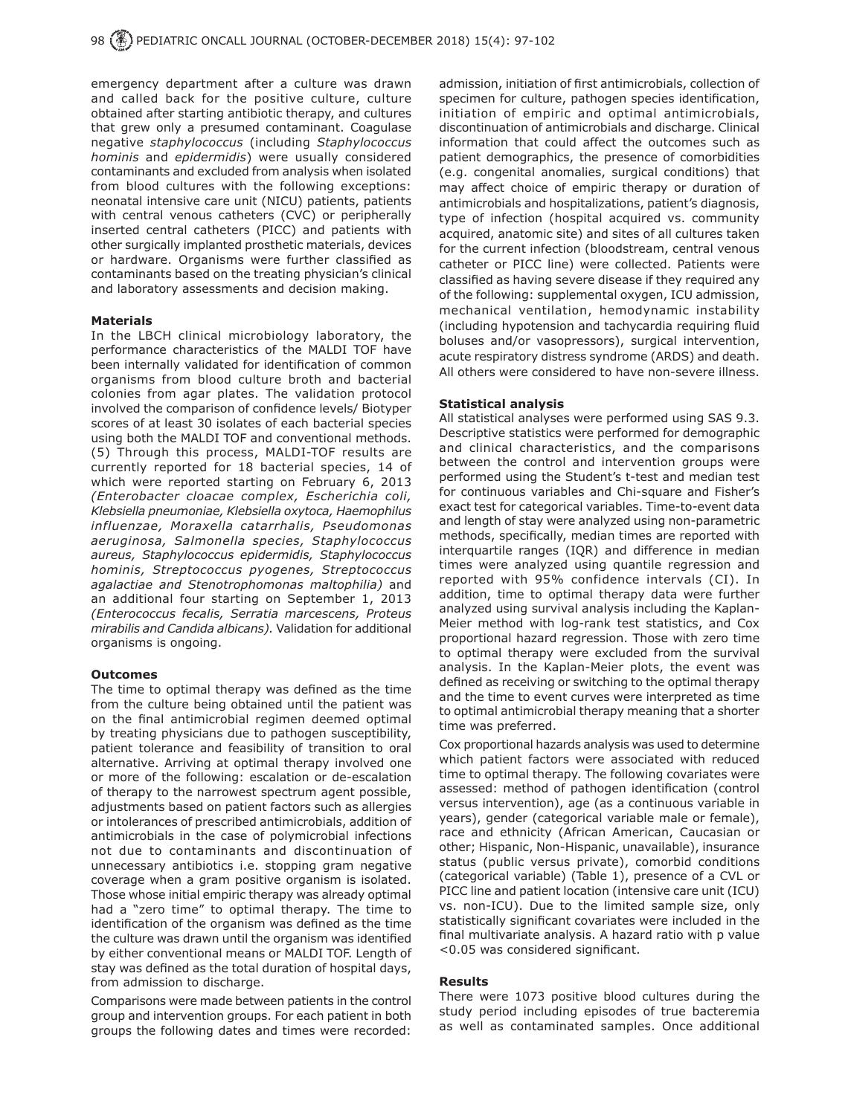emergency department after a culture was drawn and called back for the positive culture, culture obtained after starting antibiotic therapy, and cultures that grew only a presumed contaminant. Coagulase negative *staphylococcus* (including *Staphylococcus hominis* and *epidermidis*) were usually considered contaminants and excluded from analysis when isolated from blood cultures with the following exceptions: neonatal intensive care unit (NICU) patients, patients with central venous catheters (CVC) or peripherally inserted central catheters (PICC) and patients with other surgically implanted prosthetic materials, devices or hardware. Organisms were further classified as contaminants based on the treating physician's clinical and laboratory assessments and decision making.

#### **Materials**

In the LBCH clinical microbiology laboratory, the performance characteristics of the MALDI TOF have been internally validated for identification of common organisms from blood culture broth and bacterial colonies from agar plates. The validation protocol involved the comparison of confidence levels/ Biotyper scores of at least 30 isolates of each bacterial species using both the MALDI TOF and conventional methods. (5) Through this process, MALDI-TOF results are currently reported for 18 bacterial species, 14 of which were reported starting on February 6, 2013 *(Enterobacter cloacae complex, Escherichia coli, Klebsiella pneumoniae, Klebsiella oxytoca, Haemophilus influenzae, Moraxella catarrhalis, Pseudomonas aeruginosa, Salmonella species, Staphylococcus aureus, Staphylococcus epidermidis, Staphylococcus hominis, Streptococcus pyogenes, Streptococcus agalactiae and Stenotrophomonas maltophilia)* and an additional four starting on September 1, 2013 *(Enterococcus fecalis, Serratia marcescens, Proteus mirabilis and Candida albicans).* Validation for additional organisms is ongoing.

#### **Outcomes**

The time to optimal therapy was defined as the time from the culture being obtained until the patient was on the final antimicrobial regimen deemed optimal by treating physicians due to pathogen susceptibility, patient tolerance and feasibility of transition to oral alternative. Arriving at optimal therapy involved one or more of the following: escalation or de-escalation of therapy to the narrowest spectrum agent possible, adjustments based on patient factors such as allergies or intolerances of prescribed antimicrobials, addition of antimicrobials in the case of polymicrobial infections not due to contaminants and discontinuation of unnecessary antibiotics i.e. stopping gram negative coverage when a gram positive organism is isolated. Those whose initial empiric therapy was already optimal had a "zero time" to optimal therapy. The time to identification of the organism was defined as the time the culture was drawn until the organism was identified by either conventional means or MALDI TOF. Length of stay was defined as the total duration of hospital days, from admission to discharge.

Comparisons were made between patients in the control group and intervention groups. For each patient in both groups the following dates and times were recorded:

admission, initiation of first antimicrobials, collection of specimen for culture, pathogen species identification, initiation of empiric and optimal antimicrobials, discontinuation of antimicrobials and discharge. Clinical information that could affect the outcomes such as patient demographics, the presence of comorbidities (e.g. congenital anomalies, surgical conditions) that may affect choice of empiric therapy or duration of antimicrobials and hospitalizations, patient's diagnosis, type of infection (hospital acquired vs. community acquired, anatomic site) and sites of all cultures taken for the current infection (bloodstream, central venous catheter or PICC line) were collected. Patients were classified as having severe disease if they required any of the following: supplemental oxygen, ICU admission, mechanical ventilation, hemodynamic instability (including hypotension and tachycardia requiring fluid boluses and/or vasopressors), surgical intervention, acute respiratory distress syndrome (ARDS) and death. All others were considered to have non-severe illness.

#### **Statistical analysis**

All statistical analyses were performed using SAS 9.3. Descriptive statistics were performed for demographic and clinical characteristics, and the comparisons between the control and intervention groups were performed using the Student's t-test and median test for continuous variables and Chi-square and Fisher's exact test for categorical variables. Time-to-event data and length of stay were analyzed using non-parametric methods, specifically, median times are reported with interquartile ranges (IQR) and difference in median times were analyzed using quantile regression and reported with 95% confidence intervals (CI). In addition, time to optimal therapy data were further analyzed using survival analysis including the Kaplan-Meier method with log-rank test statistics, and Cox proportional hazard regression. Those with zero time to optimal therapy were excluded from the survival analysis. In the Kaplan-Meier plots, the event was defined as receiving or switching to the optimal therapy and the time to event curves were interpreted as time to optimal antimicrobial therapy meaning that a shorter time was preferred.

Cox proportional hazards analysis was used to determine which patient factors were associated with reduced time to optimal therapy. The following covariates were assessed: method of pathogen identification (control versus intervention), age (as a continuous variable in years), gender (categorical variable male or female), race and ethnicity (African American, Caucasian or other; Hispanic, Non-Hispanic, unavailable), insurance status (public versus private), comorbid conditions (categorical variable) (Table 1), presence of a CVL or PICC line and patient location (intensive care unit (ICU) vs. non-ICU). Due to the limited sample size, only statistically significant covariates were included in the final multivariate analysis. A hazard ratio with p value <0.05 was considered significant.

#### **Results**

There were 1073 positive blood cultures during the study period including episodes of true bacteremia as well as contaminated samples. Once additional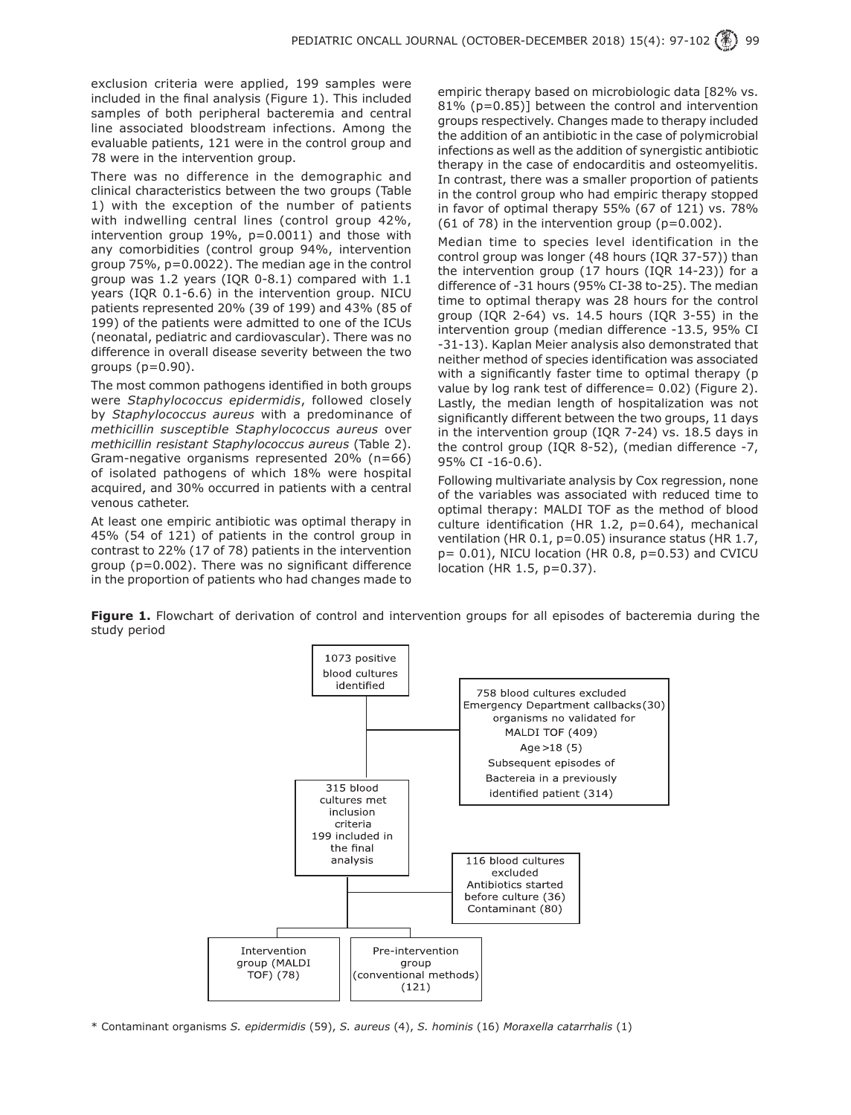exclusion criteria were applied, 199 samples were included in the final analysis (Figure 1). This included samples of both peripheral bacteremia and central line associated bloodstream infections. Among the evaluable patients, 121 were in the control group and 78 were in the intervention group.

There was no difference in the demographic and clinical characteristics between the two groups (Table 1) with the exception of the number of patients with indwelling central lines (control group 42%, intervention group 19%, p=0.0011) and those with any comorbidities (control group 94%, intervention group 75%, p=0.0022). The median age in the control group was 1.2 years (IQR 0-8.1) compared with 1.1 years (IQR 0.1-6.6) in the intervention group. NICU patients represented 20% (39 of 199) and 43% (85 of 199) of the patients were admitted to one of the ICUs (neonatal, pediatric and cardiovascular). There was no difference in overall disease severity between the two groups (p=0.90).

The most common pathogens identified in both groups were *Staphylococcus epidermidis*, followed closely by *Staphylococcus aureus* with a predominance of *methicillin susceptible Staphylococcus aureus* over *methicillin resistant Staphylococcus aureus* (Table 2). Gram-negative organisms represented 20% (n=66) of isolated pathogens of which 18% were hospital acquired, and 30% occurred in patients with a central venous catheter.

At least one empiric antibiotic was optimal therapy in 45% (54 of 121) of patients in the control group in contrast to 22% (17 of 78) patients in the intervention group (p=0.002). There was no significant difference in the proportion of patients who had changes made to empiric therapy based on microbiologic data [82% vs. 81% (p=0.85)] between the control and intervention groups respectively. Changes made to therapy included the addition of an antibiotic in the case of polymicrobial infections as well as the addition of synergistic antibiotic therapy in the case of endocarditis and osteomyelitis. In contrast, there was a smaller proportion of patients in the control group who had empiric therapy stopped in favor of optimal therapy 55% (67 of 121) vs. 78% (61 of 78) in the intervention group (p=0.002).

Median time to species level identification in the control group was longer (48 hours (IQR 37-57)) than the intervention group (17 hours (IQR 14-23)) for a difference of -31 hours (95% CI-38 to-25). The median time to optimal therapy was 28 hours for the control group (IQR 2-64) vs. 14.5 hours (IQR 3-55) in the intervention group (median difference -13.5, 95% CI -31-13). Kaplan Meier analysis also demonstrated that neither method of species identification was associated with a significantly faster time to optimal therapy (p value by log rank test of difference= 0.02) (Figure 2). Lastly, the median length of hospitalization was not significantly different between the two groups, 11 days in the intervention group (IQR 7-24) vs. 18.5 days in the control group (IQR 8-52), (median difference -7, 95% CI -16-0.6).

Following multivariate analysis by Cox regression, none of the variables was associated with reduced time to optimal therapy: MALDI TOF as the method of blood culture identification (HR 1.2, p=0.64), mechanical ventilation (HR 0.1, p=0.05) insurance status (HR 1.7,  $p= 0.01$ ), NICU location (HR 0.8,  $p=0.53$ ) and CVICU location (HR 1.5, p=0.37).

**Figure 1.** Flowchart of derivation of control and intervention groups for all episodes of bacteremia during the study period



\* Contaminant organisms *S. epidermidis* (59), *S. aureus* (4), *S. hominis* (16) *Moraxella catarrhalis* (1)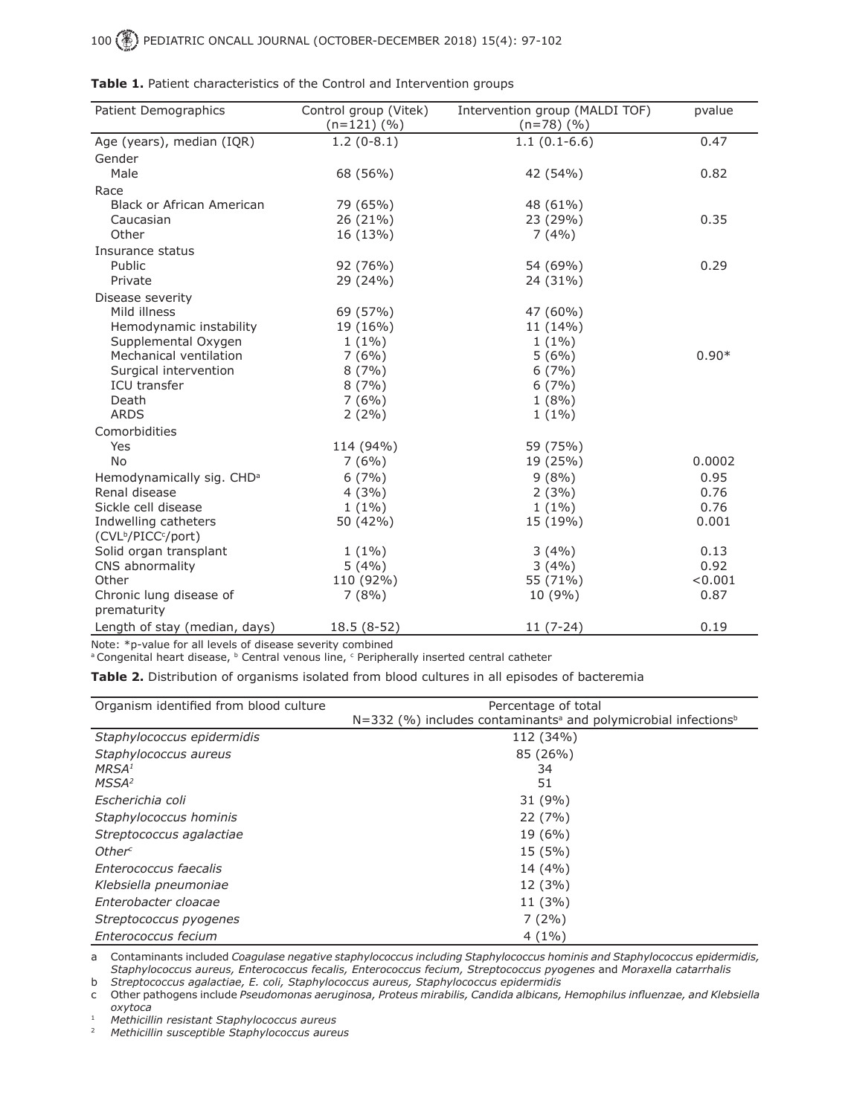100 PEDIATRIC ONCALL JOURNAL (OCTOBER-DECEMBER 2018) 15(4): 97-102

| <b>Patient Demographics</b>                 | Control group (Vitek)<br>$(n=121)(%$ | Intervention group (MALDI TOF)<br>$(n=78)$ (%) | pvalue  |
|---------------------------------------------|--------------------------------------|------------------------------------------------|---------|
| Age (years), median (IQR)                   | $1.2(0-8.1)$                         | $1.1(0.1-6.6)$                                 | 0.47    |
| Gender                                      |                                      |                                                |         |
| Male                                        | 68 (56%)                             | 42 (54%)                                       | 0.82    |
| Race                                        |                                      |                                                |         |
| <b>Black or African American</b>            | 79 (65%)                             | 48 (61%)                                       |         |
| Caucasian                                   | 26 (21%)                             | 23 (29%)                                       | 0.35    |
| Other                                       | 16 (13%)                             | 7(4%)                                          |         |
| Insurance status                            |                                      |                                                |         |
| Public                                      | 92 (76%)                             | 54 (69%)                                       | 0.29    |
| Private                                     | 29 (24%)                             | 24 (31%)                                       |         |
| Disease severity                            |                                      |                                                |         |
| Mild illness                                | 69 (57%)                             | 47 (60%)                                       |         |
| Hemodynamic instability                     | 19 (16%)                             | 11 (14%)                                       |         |
| Supplemental Oxygen                         | $1(1\%)$                             | $1(1\%)$                                       |         |
| Mechanical ventilation                      | 7(6%)                                | 5(6%)                                          | $0.90*$ |
| Surgical intervention                       | 8(7%)                                | 6(7%)                                          |         |
| <b>ICU</b> transfer                         | 8(7%)                                | 6(7%)                                          |         |
| Death                                       | 7(6%)                                | 1(8%)                                          |         |
| <b>ARDS</b>                                 | $2(2\%)$                             | $1(1\%)$                                       |         |
| Comorbidities                               |                                      |                                                |         |
| Yes                                         | 114 (94%)                            | 59 (75%)                                       |         |
| <b>No</b>                                   | 7(6%)                                | 19 (25%)                                       | 0.0002  |
| Hemodynamically sig. CHD <sup>a</sup>       | $6(7\%)$                             | 9(8%)                                          | 0.95    |
| Renal disease                               | 4(3%)                                | 2(3%)                                          | 0.76    |
| Sickle cell disease                         | $1(1\%)$                             | $1(1\%)$                                       | 0.76    |
| Indwelling catheters                        | 50 (42%)                             | 15 (19%)                                       | 0.001   |
| (CVL <sup>b</sup> /PICC <sup>c</sup> /port) |                                      |                                                |         |
| Solid organ transplant                      | $1(1\%)$                             | 3(4%)                                          | 0.13    |
| CNS abnormality                             | 5(4%)                                | 3(4%)                                          | 0.92    |
| Other                                       | 110 (92%)                            | 55 (71%)                                       | < 0.001 |
| Chronic lung disease of                     | 7(8%)                                | 10 (9%)                                        | 0.87    |
| prematurity                                 |                                      |                                                |         |
| Length of stay (median, days)               | 18.5 (8-52)                          | $11(7-24)$                                     | 0.19    |

|  |  | Table 1. Patient characteristics of the Control and Intervention groups |  |  |  |  |
|--|--|-------------------------------------------------------------------------|--|--|--|--|
|--|--|-------------------------------------------------------------------------|--|--|--|--|

Note: \*p-value for all levels of disease severity combined <sup>a</sup> Congenital heart disease, <sup>b</sup> Central venous line, <sup>c</sup> Peripherally inserted central catheter

**Table 2.** Distribution of organisms isolated from blood cultures in all episodes of bacteremia

| Organism identified from blood culture | Percentage of total                                                                      |
|----------------------------------------|------------------------------------------------------------------------------------------|
|                                        | $N=332$ (%) includes contaminants <sup>a</sup> and polymicrobial infections <sup>b</sup> |
| Staphylococcus epidermidis             | 112 (34%)                                                                                |
| Staphylococcus aureus                  | 85 (26%)                                                                                 |
| MRSA <sup>1</sup>                      | 34                                                                                       |
| MSSA <sup>2</sup>                      | 51                                                                                       |
| Escherichia coli                       | 31 (9%)                                                                                  |
| Staphylococcus hominis                 | 22(7%)                                                                                   |
| Streptococcus agalactiae               | 19 (6%)                                                                                  |
| Other <sup>c</sup>                     | 15 (5%)                                                                                  |
| Enterococcus faecalis                  | 14 (4%)                                                                                  |
| Klebsiella pneumoniae                  | 12 (3%)                                                                                  |
| Enterobacter cloacae                   | 11 (3%)                                                                                  |
| Streptococcus pyogenes                 | $7(2\%)$                                                                                 |
| Enterococcus fecium                    | $4(1\%)$                                                                                 |

a Contaminants included *Coagulase negative staphylococcus including Staphylococcus hominis and Staphylococcus epidermidis, Staphylococcus aureus, Enterococcus fecalis, Enterococcus fecium, Streptococcus pyogenes* and *Moraxella catarrhalis*

b *Streptococcus agalactiae, E. coli, Staphylococcus aureus, Staphylococcus epidermidis*

c Other pathogens include *Pseudomonas aeruginosa, Proteus mirabilis, Candida albicans, Hemophilus influenzae, and Klebsiella oxytoca*

<sup>1</sup> *Methicillin resistant Staphylococcus aureus*

<sup>2</sup> *Methicillin susceptible Staphylococcus aureus*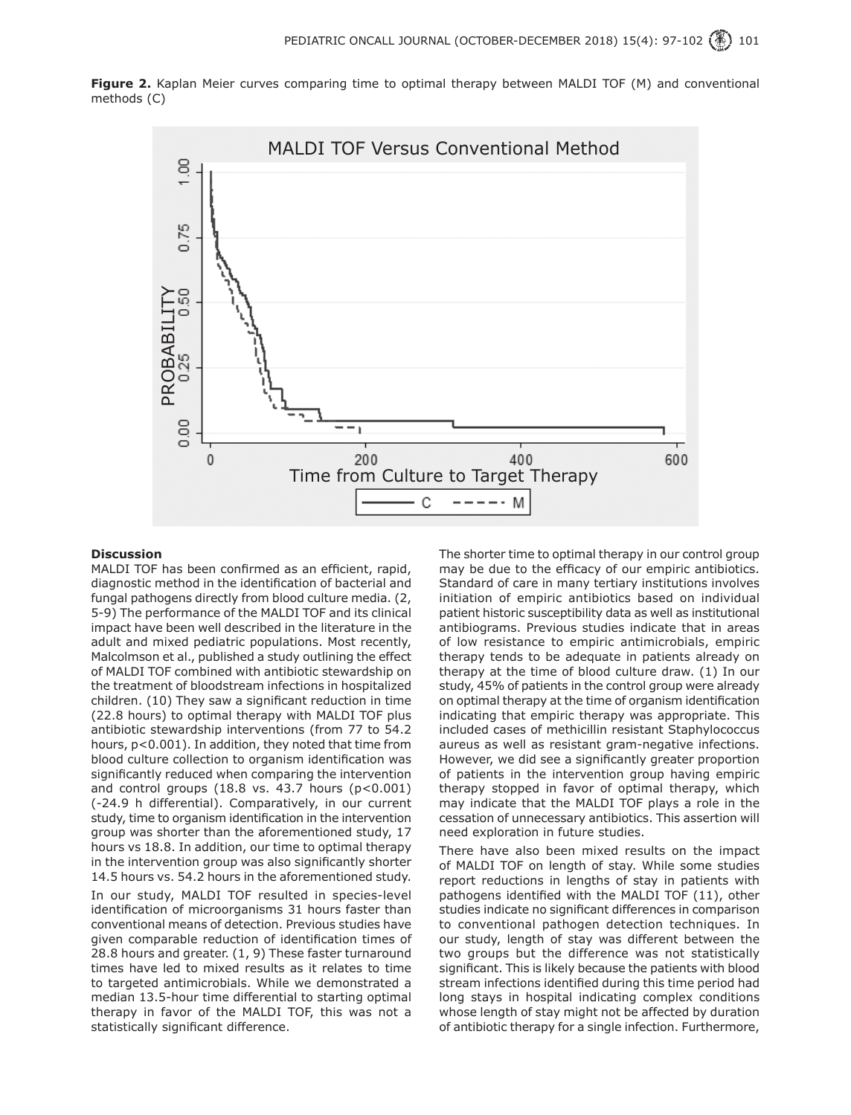**Figure 2.** Kaplan Meier curves comparing time to optimal therapy between MALDI TOF (M) and conventional methods (C)



#### **Discussion**

MALDI TOF has been confirmed as an efficient, rapid, diagnostic method in the identification of bacterial and fungal pathogens directly from blood culture media. (2, 5-9) The performance of the MALDI TOF and its clinical impact have been well described in the literature in the adult and mixed pediatric populations. Most recently, Malcolmson et al., published a study outlining the effect of MALDI TOF combined with antibiotic stewardship on the treatment of bloodstream infections in hospitalized children. (10) They saw a significant reduction in time (22.8 hours) to optimal therapy with MALDI TOF plus antibiotic stewardship interventions (from 77 to 54.2 hours, p<0.001). In addition, they noted that time from blood culture collection to organism identification was significantly reduced when comparing the intervention and control groups  $(18.8 \text{ vs. } 43.7 \text{ hours } (p<0.001))$ (-24.9 h differential). Comparatively, in our current study, time to organism identification in the intervention group was shorter than the aforementioned study, 17 hours vs 18.8. In addition, our time to optimal therapy in the intervention group was also significantly shorter 14.5 hours vs. 54.2 hours in the aforementioned study.

In our study, MALDI TOF resulted in species-level identification of microorganisms 31 hours faster than conventional means of detection. Previous studies have given comparable reduction of identification times of 28.8 hours and greater. (1, 9) These faster turnaround times have led to mixed results as it relates to time to targeted antimicrobials. While we demonstrated a median 13.5-hour time differential to starting optimal therapy in favor of the MALDI TOF, this was not a statistically significant difference.

The shorter time to optimal therapy in our control group may be due to the efficacy of our empiric antibiotics. Standard of care in many tertiary institutions involves initiation of empiric antibiotics based on individual patient historic susceptibility data as well as institutional antibiograms. Previous studies indicate that in areas of low resistance to empiric antimicrobials, empiric therapy tends to be adequate in patients already on therapy at the time of blood culture draw. (1) In our study, 45% of patients in the control group were already on optimal therapy at the time of organism identification indicating that empiric therapy was appropriate. This included cases of methicillin resistant Staphylococcus aureus as well as resistant gram-negative infections. However, we did see a significantly greater proportion of patients in the intervention group having empiric therapy stopped in favor of optimal therapy, which may indicate that the MALDI TOF plays a role in the cessation of unnecessary antibiotics. This assertion will need exploration in future studies.

There have also been mixed results on the impact of MALDI TOF on length of stay. While some studies report reductions in lengths of stay in patients with pathogens identified with the MALDI TOF (11), other studies indicate no significant differences in comparison to conventional pathogen detection techniques. In our study, length of stay was different between the two groups but the difference was not statistically significant. This is likely because the patients with blood stream infections identified during this time period had long stays in hospital indicating complex conditions whose length of stay might not be affected by duration of antibiotic therapy for a single infection. Furthermore,